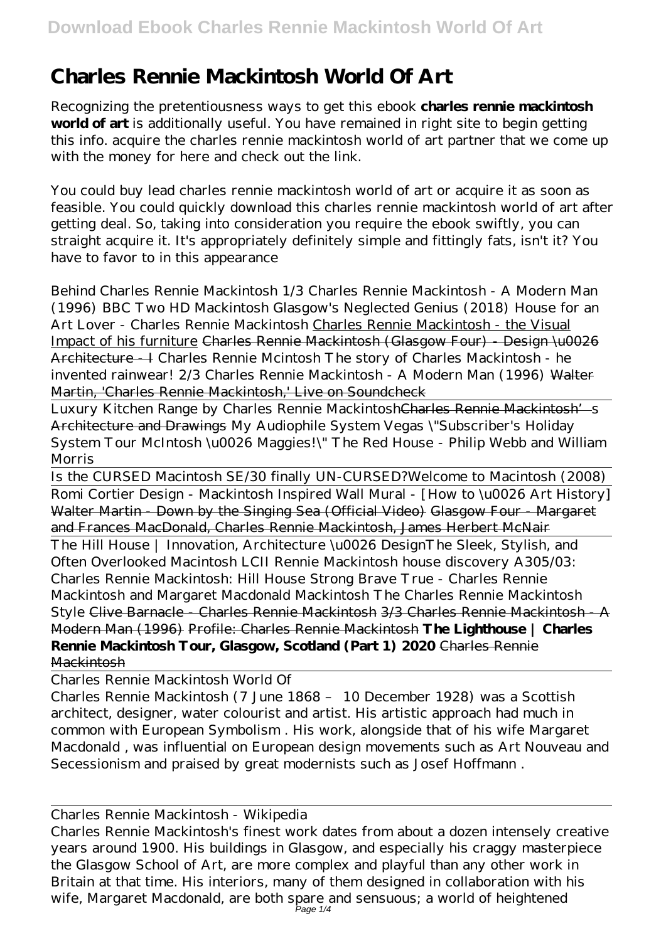## **Charles Rennie Mackintosh World Of Art**

Recognizing the pretentiousness ways to get this ebook **charles rennie mackintosh world of art** is additionally useful. You have remained in right site to begin getting this info. acquire the charles rennie mackintosh world of art partner that we come up with the money for here and check out the link.

You could buy lead charles rennie mackintosh world of art or acquire it as soon as feasible. You could quickly download this charles rennie mackintosh world of art after getting deal. So, taking into consideration you require the ebook swiftly, you can straight acquire it. It's appropriately definitely simple and fittingly fats, isn't it? You have to favor to in this appearance

*Behind Charles Rennie Mackintosh 1/3 Charles Rennie Mackintosh - A Modern Man (1996) BBC Two HD Mackintosh Glasgow's Neglected Genius (2018)* House for an Art Lover - Charles Rennie Mackintosh Charles Rennie Mackintosh - the Visual Impact of his furniture Charles Rennie Mackintosh (Glasgow Four) - Design \u0026 Architecture  $\rightarrow$  *Charles Rennie Mcintosh The story of Charles Mackintosh - he invented rainwear! 2/3 Charles Rennie Mackintosh - A Modern Man (1996)* Walter Martin, 'Charles Rennie Mackintosh,' Live on Soundcheck

Luxury Kitchen Range by Charles Rennie MackintoshCharles Rennie Mackintosh's Architecture and Drawings My Audiophile System Vegas \"Subscriber's Holiday System Tour McIntosh \u0026 Maggies!\" *The Red House - Philip Webb and William Morris*

Is the CURSED Macintosh SE/30 finally UN-CURSED?*Welcome to Macintosh (2008)* Romi Cortier Design - Mackintosh Inspired Wall Mural - [How to \u0026 Art History] Walter Martin - Down by the Singing Sea (Official Video) Glasgow Four - Margaret and Frances MacDonald, Charles Rennie Mackintosh, James Herbert McNair The Hill House | Innovation, Architecture \u0026 Design*The Sleek, Stylish, and Often Overlooked Macintosh LCII Rennie Mackintosh house discovery* A305/03: Charles Rennie Mackintosh: Hill House *Strong Brave True - Charles Rennie Mackintosh and Margaret Macdonald Mackintosh The Charles Rennie Mackintosh Style* Clive Barnacle - Charles Rennie Mackintosh 3/3 Charles Rennie Mackintosh - A Modern Man (1996) Profile: Charles Rennie Mackintosh **The Lighthouse | Charles Rennie Mackintosh Tour, Glasgow, Scotland (Part 1) 2020** Charles Rennie Mackintosh

Charles Rennie Mackintosh World Of

Charles Rennie Mackintosh (7 June 1868 – 10 December 1928) was a Scottish architect, designer, water colourist and artist. His artistic approach had much in common with European Symbolism . His work, alongside that of his wife Margaret Macdonald , was influential on European design movements such as Art Nouveau and Secessionism and praised by great modernists such as Josef Hoffmann .

Charles Rennie Mackintosh - Wikipedia

Charles Rennie Mackintosh's finest work dates from about a dozen intensely creative years around 1900. His buildings in Glasgow, and especially his craggy masterpiece the Glasgow School of Art, are more complex and playful than any other work in Britain at that time. His interiors, many of them designed in collaboration with his wife, Margaret Macdonald, are both spare and sensuous; a world of heightened Page 1/4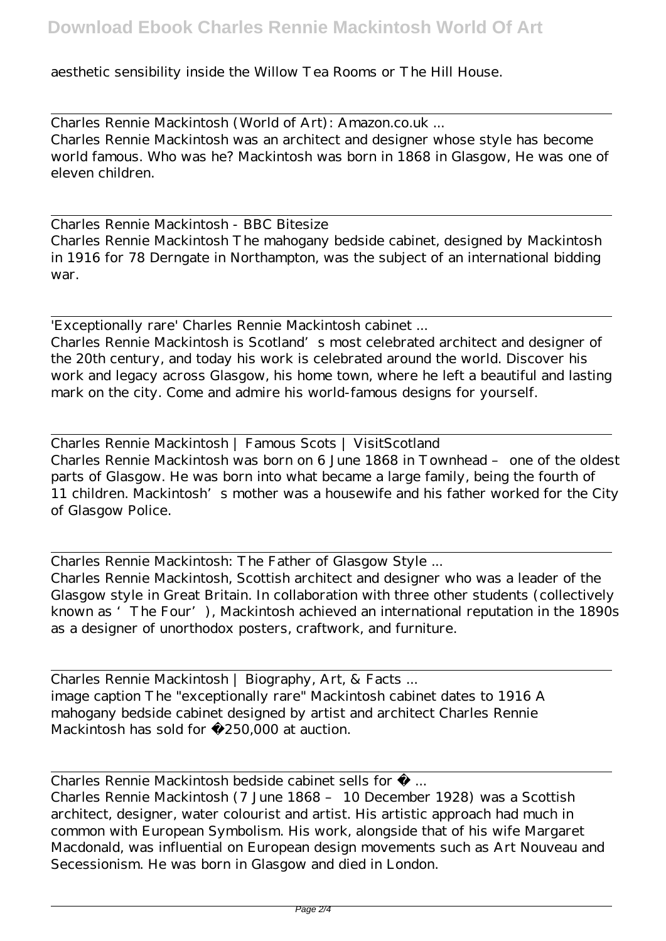aesthetic sensibility inside the Willow Tea Rooms or The Hill House.

Charles Rennie Mackintosh (World of Art): Amazon.co.uk ... Charles Rennie Mackintosh was an architect and designer whose style has become world famous. Who was he? Mackintosh was born in 1868 in Glasgow, He was one of eleven children.

Charles Rennie Mackintosh - BBC Bitesize Charles Rennie Mackintosh The mahogany bedside cabinet, designed by Mackintosh in 1916 for 78 Derngate in Northampton, was the subject of an international bidding war.

'Exceptionally rare' Charles Rennie Mackintosh cabinet ... Charles Rennie Mackintosh is Scotland's most celebrated architect and designer of the 20th century, and today his work is celebrated around the world. Discover his work and legacy across Glasgow, his home town, where he left a beautiful and lasting mark on the city. Come and admire his world-famous designs for yourself.

Charles Rennie Mackintosh | Famous Scots | VisitScotland Charles Rennie Mackintosh was born on 6 June 1868 in Townhead – one of the oldest parts of Glasgow. He was born into what became a large family, being the fourth of 11 children. Mackintosh's mother was a housewife and his father worked for the City of Glasgow Police.

Charles Rennie Mackintosh: The Father of Glasgow Style ... Charles Rennie Mackintosh, Scottish architect and designer who was a leader of the Glasgow style in Great Britain. In collaboration with three other students (collectively known as 'The Four'), Mackintosh achieved an international reputation in the 1890s as a designer of unorthodox posters, craftwork, and furniture.

Charles Rennie Mackintosh | Biography, Art, & Facts ... image caption The "exceptionally rare" Mackintosh cabinet dates to 1916 A mahogany bedside cabinet designed by artist and architect Charles Rennie Mackintosh has sold for £ 250,000 at auction.

Charles Rennie Mackintosh bedside cabinet sells for £ ...

Charles Rennie Mackintosh (7 June 1868 – 10 December 1928) was a Scottish architect, designer, water colourist and artist. His artistic approach had much in common with European Symbolism. His work, alongside that of his wife Margaret Macdonald, was influential on European design movements such as Art Nouveau and Secessionism. He was born in Glasgow and died in London.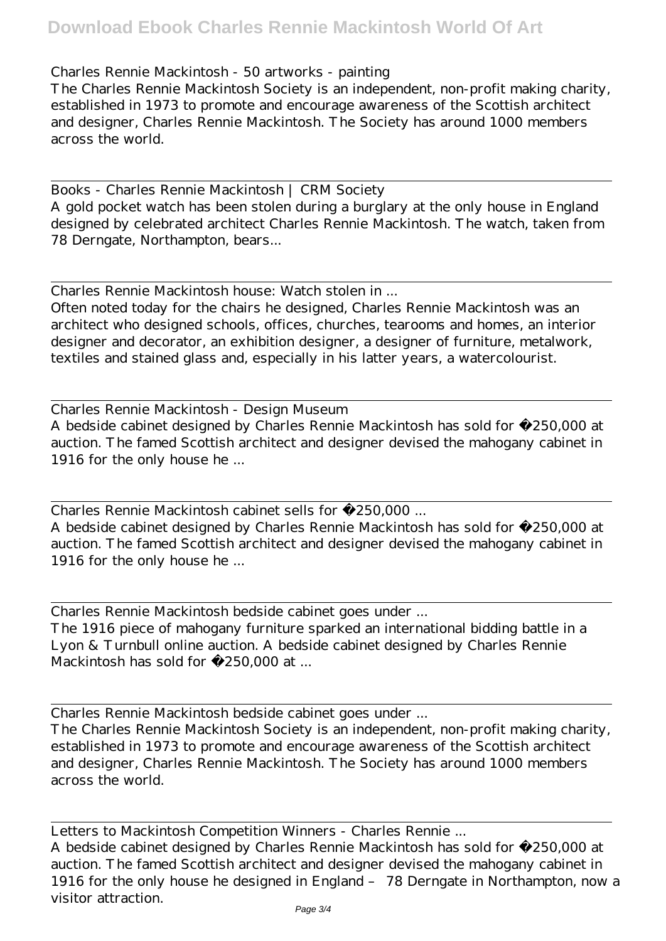Charles Rennie Mackintosh - 50 artworks - painting

The Charles Rennie Mackintosh Society is an independent, non-profit making charity, established in 1973 to promote and encourage awareness of the Scottish architect and designer, Charles Rennie Mackintosh. The Society has around 1000 members across the world.

Books - Charles Rennie Mackintosh | CRM Society A gold pocket watch has been stolen during a burglary at the only house in England designed by celebrated architect Charles Rennie Mackintosh. The watch, taken from 78 Derngate, Northampton, bears...

Charles Rennie Mackintosh house: Watch stolen in ...

Often noted today for the chairs he designed, Charles Rennie Mackintosh was an architect who designed schools, offices, churches, tearooms and homes, an interior designer and decorator, an exhibition designer, a designer of furniture, metalwork, textiles and stained glass and, especially in his latter years, a watercolourist.

Charles Rennie Mackintosh - Design Museum A bedside cabinet designed by Charles Rennie Mackintosh has sold for £250,000 at auction. The famed Scottish architect and designer devised the mahogany cabinet in 1916 for the only house he ...

Charles Rennie Mackintosh cabinet sells for £250,000 ... A bedside cabinet designed by Charles Rennie Mackintosh has sold for £250,000 at auction. The famed Scottish architect and designer devised the mahogany cabinet in 1916 for the only house he ...

Charles Rennie Mackintosh bedside cabinet goes under ... The 1916 piece of mahogany furniture sparked an international bidding battle in a Lyon & Turnbull online auction. A bedside cabinet designed by Charles Rennie Mackintosh has sold for £250,000 at ...

Charles Rennie Mackintosh bedside cabinet goes under ...

The Charles Rennie Mackintosh Society is an independent, non-profit making charity, established in 1973 to promote and encourage awareness of the Scottish architect and designer, Charles Rennie Mackintosh. The Society has around 1000 members across the world.

Letters to Mackintosh Competition Winners - Charles Rennie ... A bedside cabinet designed by Charles Rennie Mackintosh has sold for £250,000 at auction. The famed Scottish architect and designer devised the mahogany cabinet in 1916 for the only house he designed in England – 78 Derngate in Northampton, now a visitor attraction.